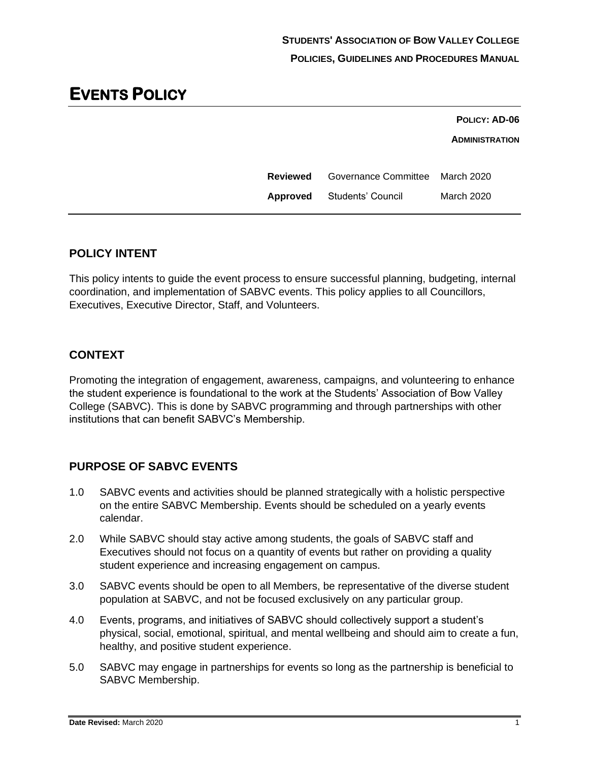|                 |                                   | POLICY: AD-06         |
|-----------------|-----------------------------------|-----------------------|
|                 |                                   | <b>ADMINISTRATION</b> |
| <b>Reviewed</b> | Governance Committee March 2020   |                       |
|                 | <b>Approved</b> Students' Council | <b>March 2020</b>     |
|                 |                                   |                       |

## **POLICY INTENT**

This policy intents to guide the event process to ensure successful planning, budgeting, internal coordination, and implementation of SABVC events. This policy applies to all Councillors, Executives, Executive Director, Staff, and Volunteers.

## **CONTEXT**

Promoting the integration of engagement, awareness, campaigns, and volunteering to enhance the student experience is foundational to the work at the Students' Association of Bow Valley College (SABVC). This is done by SABVC programming and through partnerships with other institutions that can benefit SABVC's Membership.

# **PURPOSE OF SABVC EVENTS**

- 1.0 SABVC events and activities should be planned strategically with a holistic perspective on the entire SABVC Membership. Events should be scheduled on a yearly events calendar.
- 2.0 While SABVC should stay active among students, the goals of SABVC staff and Executives should not focus on a quantity of events but rather on providing a quality student experience and increasing engagement on campus.
- 3.0 SABVC events should be open to all Members, be representative of the diverse student population at SABVC, and not be focused exclusively on any particular group.
- 4.0 Events, programs, and initiatives of SABVC should collectively support a student's physical, social, emotional, spiritual, and mental wellbeing and should aim to create a fun, healthy, and positive student experience.
- 5.0 SABVC may engage in partnerships for events so long as the partnership is beneficial to SABVC Membership.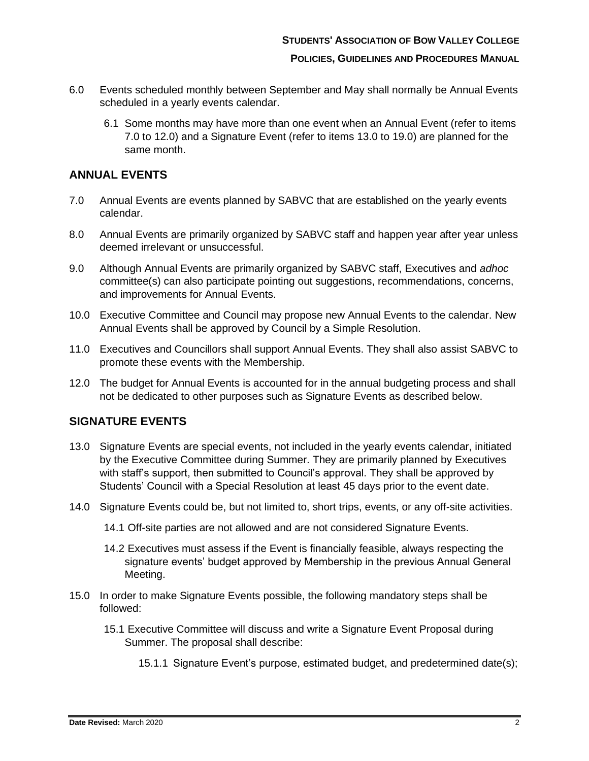#### **POLICIES, GUIDELINES AND PROCEDURES MANUAL**

- 6.0 Events scheduled monthly between September and May shall normally be Annual Events scheduled in a yearly events calendar.
	- 6.1 Some months may have more than one event when an Annual Event (refer to items [7.0](#page-1-0) to [12.0\)](#page-1-1) and a Signature Event (refer to items [13.0](#page-1-2) to [19.0\)](#page-2-0) are planned for the same month.

## **ANNUAL EVENTS**

- <span id="page-1-0"></span>7.0 Annual Events are events planned by SABVC that are established on the yearly events calendar.
- 8.0 Annual Events are primarily organized by SABVC staff and happen year after year unless deemed irrelevant or unsuccessful.
- 9.0 Although Annual Events are primarily organized by SABVC staff, Executives and *adhoc* committee(s) can also participate pointing out suggestions, recommendations, concerns, and improvements for Annual Events.
- 10.0 Executive Committee and Council may propose new Annual Events to the calendar. New Annual Events shall be approved by Council by a Simple Resolution.
- 11.0 Executives and Councillors shall support Annual Events. They shall also assist SABVC to promote these events with the Membership.
- <span id="page-1-1"></span>12.0 The budget for Annual Events is accounted for in the annual budgeting process and shall not be dedicated to other purposes such as Signature Events as described below.

### **SIGNATURE EVENTS**

- <span id="page-1-2"></span>13.0 Signature Events are special events, not included in the yearly events calendar, initiated by the Executive Committee during Summer. They are primarily planned by Executives with staff's support, then submitted to Council's approval. They shall be approved by Students' Council with a Special Resolution at least 45 days prior to the event date.
- 14.0 Signature Events could be, but not limited to, short trips, events, or any off-site activities.
	- 14.1 Off-site parties are not allowed and are not considered Signature Events.
	- 14.2 Executives must assess if the Event is financially feasible, always respecting the signature events' budget approved by Membership in the previous Annual General Meeting.
- <span id="page-1-3"></span>15.0 In order to make Signature Events possible, the following mandatory steps shall be followed:
	- 15.1 Executive Committee will discuss and write a Signature Event Proposal during Summer. The proposal shall describe:
		- 15.1.1 Signature Event's purpose, estimated budget, and predetermined date(s);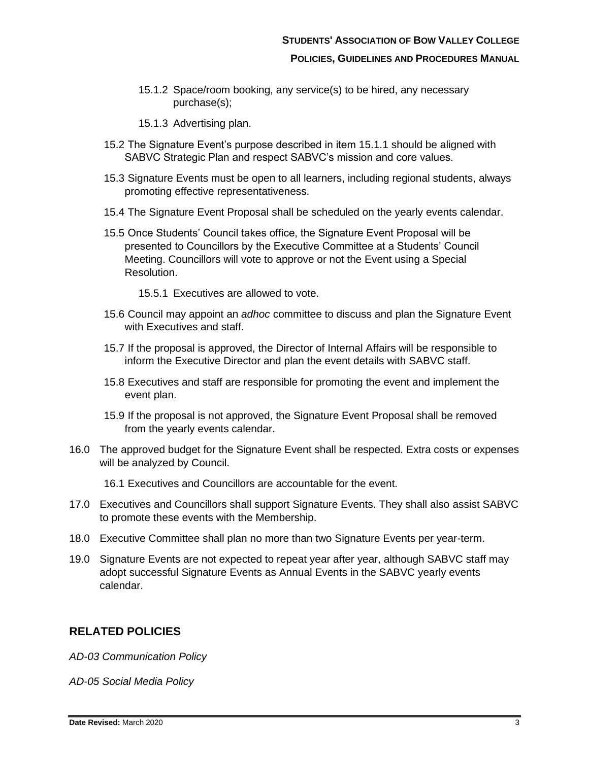- 15.1.2 Space/room booking, any service(s) to be hired, any necessary purchase(s);
- 15.1.3 Advertising plan.
- 15.2 The Signature Event's purpose described in item [15.1.1](#page-1-3) should be aligned with SABVC Strategic Plan and respect SABVC's mission and core values.
- 15.3 Signature Events must be open to all learners, including regional students, always promoting effective representativeness.
- 15.4 The Signature Event Proposal shall be scheduled on the yearly events calendar.
- 15.5 Once Students' Council takes office, the Signature Event Proposal will be presented to Councillors by the Executive Committee at a Students' Council Meeting. Councillors will vote to approve or not the Event using a Special Resolution.

15.5.1 Executives are allowed to vote.

- 15.6 Council may appoint an *adhoc* committee to discuss and plan the Signature Event with Executives and staff.
- 15.7 If the proposal is approved, the Director of Internal Affairs will be responsible to inform the Executive Director and plan the event details with SABVC staff.
- 15.8 Executives and staff are responsible for promoting the event and implement the event plan.
- 15.9 If the proposal is not approved, the Signature Event Proposal shall be removed from the yearly events calendar.
- 16.0 The approved budget for the Signature Event shall be respected. Extra costs or expenses will be analyzed by Council.
	- 16.1 Executives and Councillors are accountable for the event.
- 17.0 Executives and Councillors shall support Signature Events. They shall also assist SABVC to promote these events with the Membership.
- 18.0 Executive Committee shall plan no more than two Signature Events per year-term.
- <span id="page-2-0"></span>19.0 Signature Events are not expected to repeat year after year, although SABVC staff may adopt successful Signature Events as Annual Events in the SABVC yearly events calendar.

### **RELATED POLICIES**

*AD-03 Communication Policy*

*AD-05 Social Media Policy*